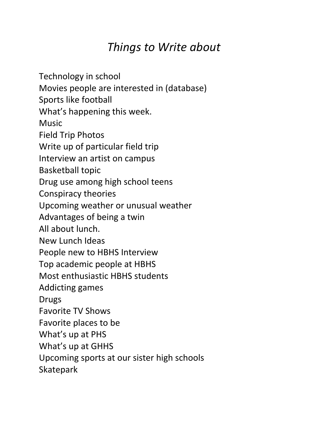## *Things to Write about*

Technology in school Movies people are interested in (database) Sports like football What's happening this week. **Music** Field Trip Photos Write up of particular field trip Interview an artist on campus **Basketball topic** Drug use among high school teens Conspiracy theories Upcoming weather or unusual weather Advantages of being a twin All about lunch. New Lunch Ideas People new to HBHS Interview Top academic people at HBHS Most enthusiastic HBHS students Addicting games Drugs Favorite TV Shows Favorite places to be What's up at PHS What's up at GHHS Upcoming sports at our sister high schools **Skatepark**